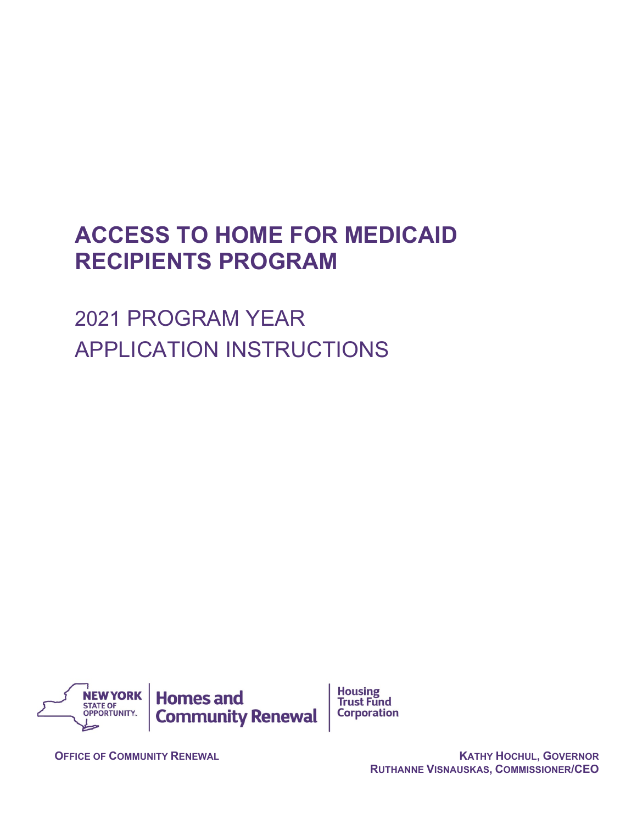# **ACCESS TO HOME FOR MEDICAID RECIPIENTS PROGRAM**

2021 PROGRAM YEAR APPLICATION INSTRUCTIONS



**OFFICE OF COMMUNITY RENEWAL CONTRACT CONTRACT CONTRACT CONTRACT AND ACTES OF COMMUNITY RENEWAL RUTHANNE VISNAUSKAS, COMMISSIONER/CEO**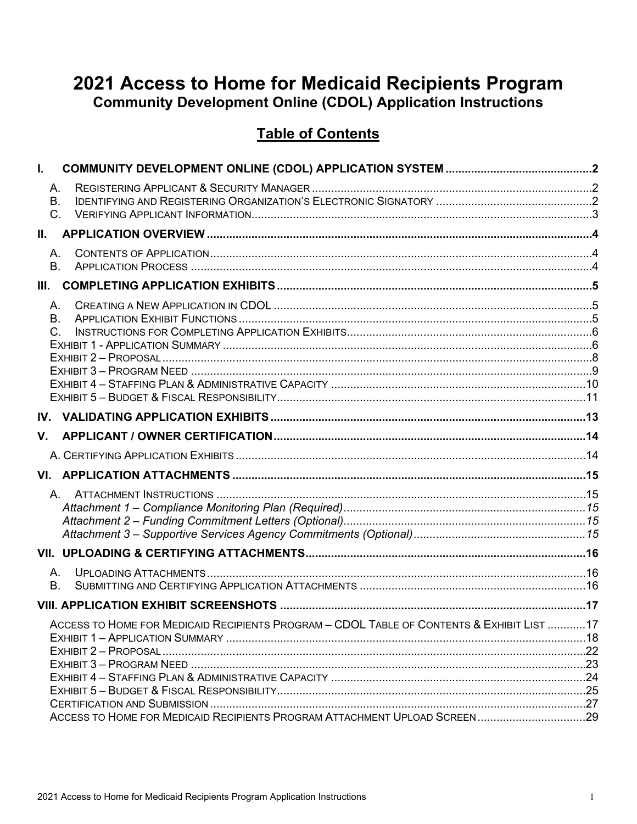# 2021 Access to Home for Medicaid Recipients Program **Community Development Online (CDOL) Application Instructions**

# **Table of Contents**

| I.    |                                                                                           |  |
|-------|-------------------------------------------------------------------------------------------|--|
|       | Α.                                                                                        |  |
|       | B <sub>r</sub>                                                                            |  |
|       | $C_{\cdot}$                                                                               |  |
| II. – |                                                                                           |  |
|       | A.<br><b>B.</b>                                                                           |  |
| Ш.    |                                                                                           |  |
|       | Α.<br>В.<br>C.                                                                            |  |
|       |                                                                                           |  |
| V.    |                                                                                           |  |
|       |                                                                                           |  |
|       |                                                                                           |  |
|       | A.                                                                                        |  |
|       |                                                                                           |  |
|       | А.<br><b>B.</b>                                                                           |  |
|       |                                                                                           |  |
|       | ACCESS TO HOME FOR MEDICAID RECIPIENTS PROGRAM - CDOL TABLE OF CONTENTS & EXHIBIT LIST 17 |  |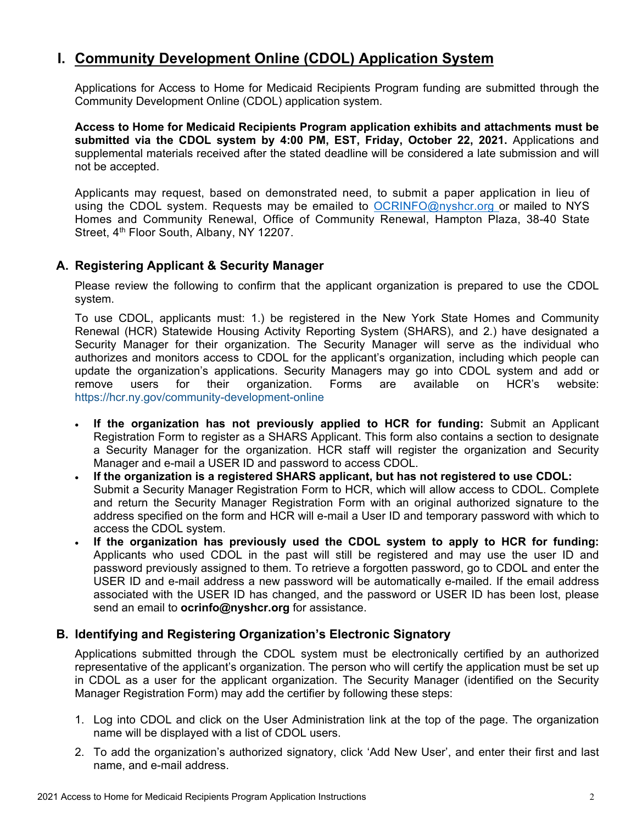# <span id="page-2-0"></span>**I. Community Development Online (CDOL) Application System**

Applications for Access to Home for Medicaid Recipients Program funding are submitted through the Community Development Online (CDOL) application system.

**Access to Home for Medicaid Recipients Program application exhibits and attachments must be submitted via the CDOL system by 4:00 PM, EST, Friday, October 22, 2021.** Applications and supplemental materials received after the stated deadline will be considered a late submission and will not be accepted.

Applicants may request, based on demonstrated need, to submit a paper application in lieu of using the CDOL system. Requests may be emailed to [OCRINFO@nyshcr.org](mailto:nyshcr.sm.ocrinfo%20%3cocrinfo@nyshcr.org%3e) or mailed to NYS Homes and Community Renewal, Office of Community Renewal, Hampton Plaza, 38-40 State Street, 4<sup>th</sup> Floor South, Albany, NY 12207.

### <span id="page-2-1"></span>**A. Registering Applicant & Security Manager**

Please review the following to confirm that the applicant organization is prepared to use the CDOL system.

To use CDOL, applicants must: 1.) be registered in the New York State Homes and Community Renewal (HCR) Statewide Housing Activity Reporting System (SHARS), and 2.) have designated a Security Manager for their organization. The Security Manager will serve as the individual who authorizes and monitors access to CDOL for the applicant's organization, including which people can update the organization's applications. Security Managers may go into CDOL system and add or remove users for their organization. Forms are available on HCR's website: <https://hcr.ny.gov/community-development-online>

- **If the organization has not previously applied to HCR for funding:** Submit an Applicant Registration Form to register as a SHARS Applicant. This form also contains a section to designate a Security Manager for the organization. HCR staff will register the organization and Security Manager and e-mail a USER ID and password to access CDOL.
- **If the organization is a registered SHARS applicant, but has not registered to use CDOL:** Submit a Security Manager Registration Form to HCR, which will allow access to CDOL. Complete and return the Security Manager Registration Form with an original authorized signature to the address specified on the form and HCR will e-mail a User ID and temporary password with which to access the CDOL system.
- **If the organization has previously used the CDOL system to apply to HCR for funding:**  Applicants who used CDOL in the past will still be registered and may use the user ID and password previously assigned to them. To retrieve a forgotten password, go to CDOL and enter the USER ID and e-mail address a new password will be automatically e-mailed. If the email address associated with the USER ID has changed, and the password or USER ID has been lost, please send an email to **ocrinfo@nyshcr.org** for assistance.

### <span id="page-2-2"></span>**B. Identifying and Registering Organization's Electronic Signatory**

Applications submitted through the CDOL system must be electronically certified by an authorized representative of the applicant's organization. The person who will certify the application must be set up in CDOL as a user for the applicant organization. The Security Manager (identified on the Security Manager Registration Form) may add the certifier by following these steps:

- 1. Log into CDOL and click on the User Administration link at the top of the page. The organization name will be displayed with a list of CDOL users.
- 2. To add the organization's authorized signatory, click 'Add New User', and enter their first and last name, and e-mail address.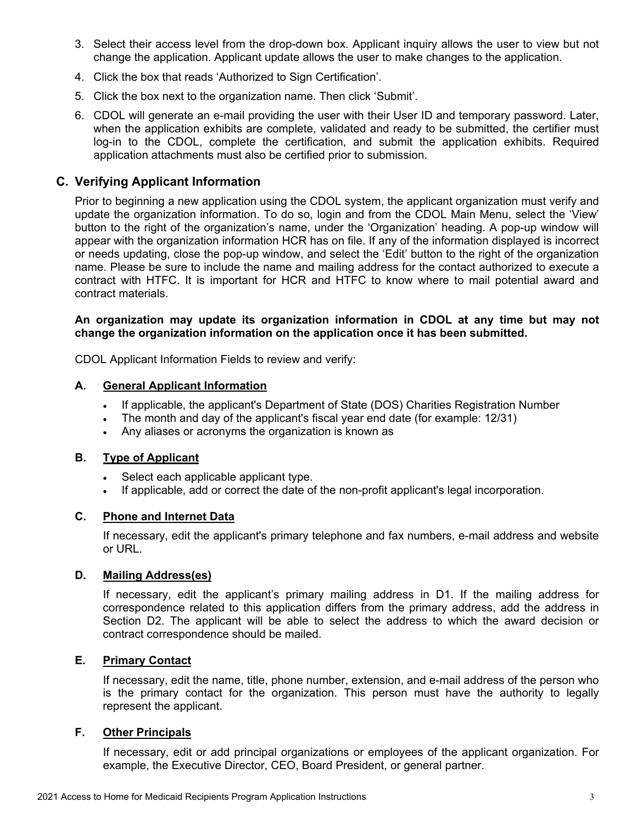- 3. Select their access level from the drop-down box. Applicant inquiry allows the user to view but not change the application. Applicant update allows the user to make changes to the application.
- 4. Click the box that reads 'Authorized to Sign Certification'.
- 5. Click the box next to the organization name. Then click 'Submit'.
- 6. CDOL will generate an e-mail providing the user with their User ID and temporary password. Later, when the application exhibits are complete, validated and ready to be submitted, the certifier must log-in to the CDOL, complete the certification, and submit the application exhibits. Required application attachments must also be certified prior to submission.

### <span id="page-3-0"></span>**C. Verifying Applicant Information**

Prior to beginning a new application using the CDOL system, the applicant organization must verify and update the organization information. To do so, login and from the CDOL Main Menu, select the 'View' button to the right of the organization's name, under the 'Organization' heading. A pop-up window will appear with the organization information HCR has on file. If any of the information displayed is incorrect or needs updating, close the pop-up window, and select the 'Edit' button to the right of the organization name. Please be sure to include the name and mailing address for the contact authorized to execute a contract with HTFC. It is important for HCR and HTFC to know where to mail potential award and contract materials.

### **An organization may update its organization information in CDOL at any time but may not change the organization information on the application once it has been submitted.**

CDOL Applicant Information Fields to review and verify:

### **A. General Applicant Information**

- If applicable, the applicant's Department of State (DOS) Charities Registration Number
- The month and day of the applicant's fiscal year end date (for example: 12/31)
- Any aliases or acronyms the organization is known as

### **B. Type of Applicant**

- Select each applicable applicant type.
- If applicable, add or correct the date of the non-profit applicant's legal incorporation.

### **C. Phone and Internet Data**

If necessary, edit the applicant's primary telephone and fax numbers, e-mail address and website or URL.

### **D. Mailing Address(es)**

If necessary, edit the applicant's primary mailing address in D1. If the mailing address for correspondence related to this application differs from the primary address, add the address in Section D2. The applicant will be able to select the address to which the award decision or contract correspondence should be mailed.

### **E. Primary Contact**

If necessary, edit the name, title, phone number, extension, and e-mail address of the person who is the primary contact for the organization. This person must have the authority to legally represent the applicant.

### **F. Other Principals**

If necessary, edit or add principal organizations or employees of the applicant organization. For example, the Executive Director, CEO, Board President, or general partner.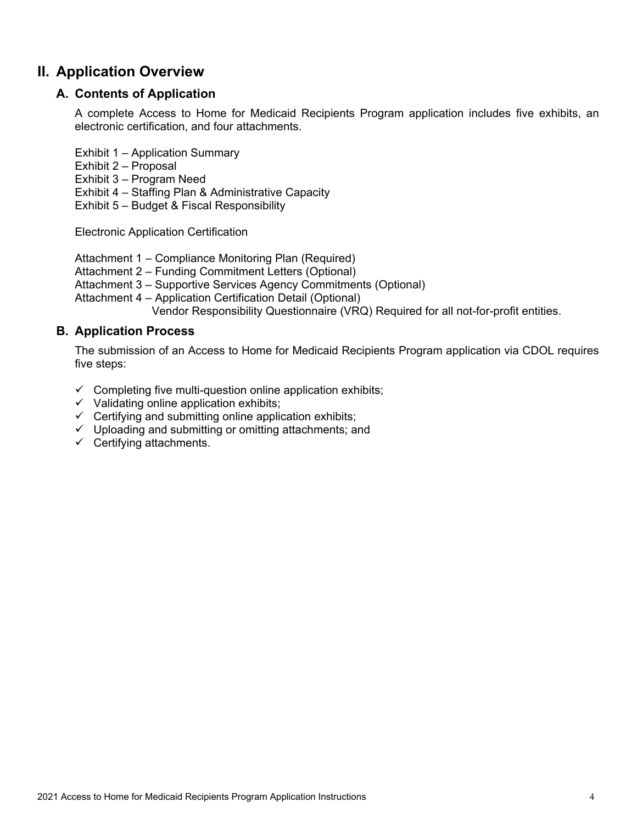# <span id="page-4-1"></span><span id="page-4-0"></span>**II. Application Overview**

### **A. Contents of Application**

A complete Access to Home for Medicaid Recipients Program application includes five exhibits, an electronic certification, and four attachments.

Exhibit 1 – Application Summary

- Exhibit 2 Proposal
- Exhibit 3 Program Need

Exhibit 4 – Staffing Plan & Administrative Capacity

Exhibit 5 – Budget & Fiscal Responsibility

Electronic Application Certification

Attachment 1 – Compliance Monitoring Plan (Required)

Attachment 2 – Funding Commitment Letters (Optional)

Attachment 3 – Supportive Services Agency Commitments (Optional)

Attachment 4 – Application Certification Detail (Optional)

Vendor Responsibility Questionnaire (VRQ) Required for all not-for-profit entities.

### <span id="page-4-2"></span>**B. Application Process**

The submission of an Access to Home for Medicaid Recipients Program application via CDOL requires five steps:

- $\checkmark$  Completing five multi-question online application exhibits;
- $\checkmark$  Validating online application exhibits;
- $\checkmark$  Certifying and submitting online application exhibits;
- $\checkmark$  Uploading and submitting or omitting attachments; and
- $\checkmark$  Certifying attachments.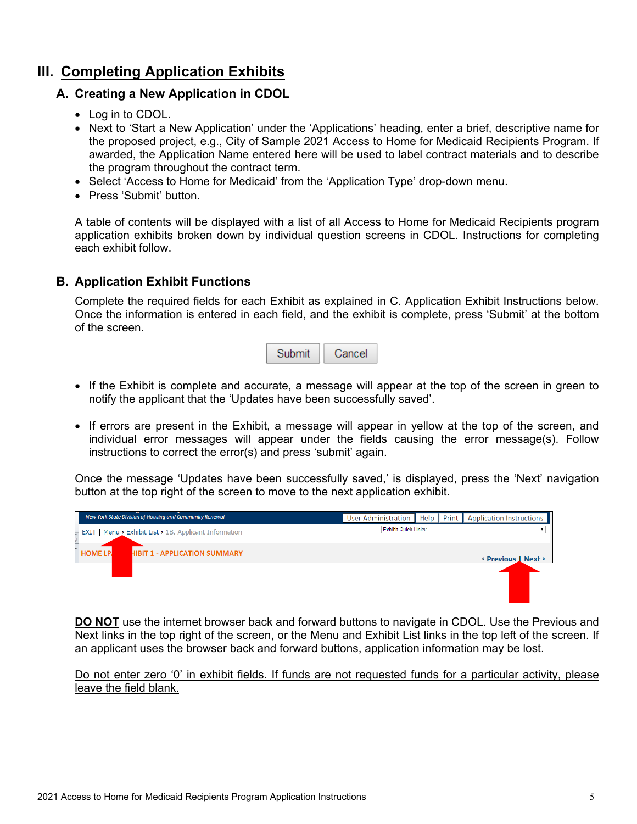# <span id="page-5-1"></span><span id="page-5-0"></span>**III. Completing Application Exhibits**

# **A. Creating a New Application in CDOL**

- Log in to CDOL.
- Next to 'Start a New Application' under the 'Applications' heading, enter a brief, descriptive name for the proposed project, e.g., City of Sample 2021 Access to Home for Medicaid Recipients Program. If awarded, the Application Name entered here will be used to label contract materials and to describe the program throughout the contract term.
- Select 'Access to Home for Medicaid' from the 'Application Type' drop-down menu.
- Press 'Submit' button.

A table of contents will be displayed with a list of all Access to Home for Medicaid Recipients program application exhibits broken down by individual question screens in CDOL. Instructions for completing each exhibit follow.

### <span id="page-5-2"></span>**B. Application Exhibit Functions**

Complete the required fields for each Exhibit as explained in C. Application Exhibit Instructions below. Once the information is entered in each field, and the exhibit is complete, press 'Submit' at the bottom of the screen.



- If the Exhibit is complete and accurate, a message will appear at the top of the screen in green to notify the applicant that the 'Updates have been successfully saved'.
- If errors are present in the Exhibit, a message will appear in yellow at the top of the screen, and individual error messages will appear under the fields causing the error message(s). Follow instructions to correct the error(s) and press 'submit' again.

Once the message 'Updates have been successfully saved,' is displayed, press the 'Next' navigation button at the top right of the screen to move to the next application exhibit.



**DO NOT** use the internet browser back and forward buttons to navigate in CDOL. Use the Previous and Next links in the top right of the screen, or the Menu and Exhibit List links in the top left of the screen. If an applicant uses the browser back and forward buttons, application information may be lost.

Do not enter zero '0' in exhibit fields. If funds are not requested funds for a particular activity, please leave the field blank.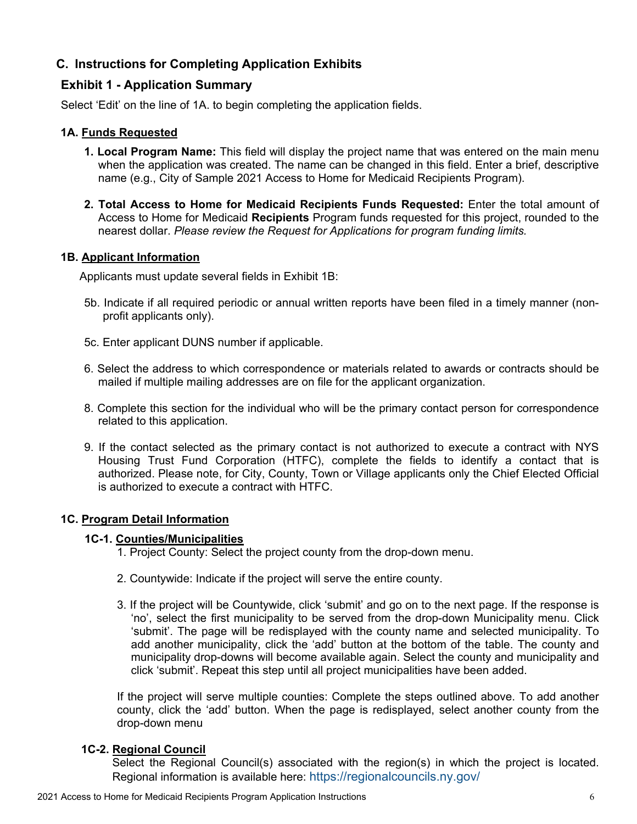# <span id="page-6-0"></span>**C. Instructions for Completing Application Exhibits**

### <span id="page-6-1"></span>**Exhibit 1 - Application Summary**

Select 'Edit' on the line of 1A. to begin completing the application fields.

### **1A. Funds Requested**

- **1. Local Program Name:** This field will display the project name that was entered on the main menu when the application was created. The name can be changed in this field. Enter a brief, descriptive name (e.g., City of Sample 2021 Access to Home for Medicaid Recipients Program).
- **2. Total Access to Home for Medicaid Recipients Funds Requested:** Enter the total amount of Access to Home for Medicaid **Recipients** Program funds requested for this project, rounded to the nearest dollar. *Please review the Request for Applications for program funding limits.*

### **1B. Applicant Information**

Applicants must update several fields in Exhibit 1B:

- 5b. Indicate if all required periodic or annual written reports have been filed in a timely manner (nonprofit applicants only).
- 5c. Enter applicant DUNS number if applicable.
- 6. Select the address to which correspondence or materials related to awards or contracts should be mailed if multiple mailing addresses are on file for the applicant organization.
- 8. Complete this section for the individual who will be the primary contact person for correspondence related to this application.
- 9. If the contact selected as the primary contact is not authorized to execute a contract with NYS Housing Trust Fund Corporation (HTFC), complete the fields to identify a contact that is authorized. Please note, for City, County, Town or Village applicants only the Chief Elected Official is authorized to execute a contract with HTFC.

### **1C. Program Detail Information**

### **1C-1. Counties/Municipalities**

- 1. Project County: Select the project county from the drop-down menu.
- 2. Countywide: Indicate if the project will serve the entire county.
- 3. If the project will be Countywide, click 'submit' and go on to the next page. If the response is 'no', select the first municipality to be served from the drop-down Municipality menu. Click 'submit'. The page will be redisplayed with the county name and selected municipality. To add another municipality, click the 'add' button at the bottom of the table. The county and municipality drop-downs will become available again. Select the county and municipality and click 'submit'. Repeat this step until all project municipalities have been added.

If the project will serve multiple counties: Complete the steps outlined above. To add another county, click the 'add' button. When the page is redisplayed, select another county from the drop-down menu

### **1C-2. Regional Council**

Select the Regional Council(s) associated with the region(s) in which the project is located. Regional information is available here:<https://regionalcouncils.ny.gov/>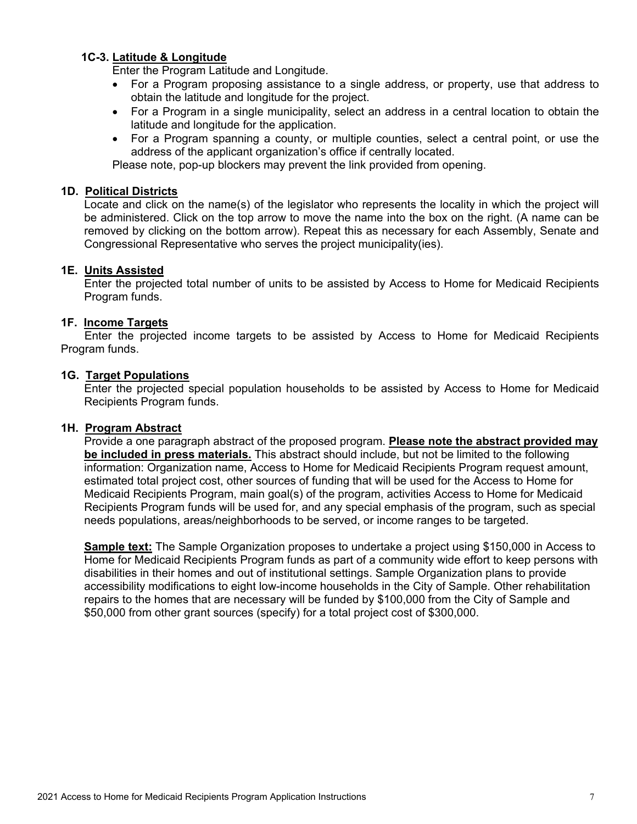### **1C-3. Latitude & Longitude**

Enter the Program Latitude and Longitude.

- For a Program proposing assistance to a single address, or property, use that address to obtain the latitude and longitude for the project.
- For a Program in a single municipality, select an address in a central location to obtain the latitude and longitude for the application.
- For a Program spanning a county, or multiple counties, select a central point, or use the address of the applicant organization's office if centrally located.

Please note, pop-up blockers may prevent the link provided from opening.

#### **1D. Political Districts**

Locate and click on the name(s) of the legislator who represents the locality in which the project will be administered. Click on the top arrow to move the name into the box on the right. (A name can be removed by clicking on the bottom arrow). Repeat this as necessary for each Assembly, Senate and Congressional Representative who serves the project municipality(ies).

#### **1E. Units Assisted**

Enter the projected total number of units to be assisted by Access to Home for Medicaid Recipients Program funds.

#### **1F. Income Targets**

Enter the projected income targets to be assisted by Access to Home for Medicaid Recipients Program funds.

#### **1G. Target Populations**

Enter the projected special population households to be assisted by Access to Home for Medicaid Recipients Program funds.

#### **1H. Program Abstract**

Provide a one paragraph abstract of the proposed program. **Please note the abstract provided may be included in press materials.** This abstract should include, but not be limited to the following information: Organization name, Access to Home for Medicaid Recipients Program request amount, estimated total project cost, other sources of funding that will be used for the Access to Home for Medicaid Recipients Program, main goal(s) of the program, activities Access to Home for Medicaid Recipients Program funds will be used for, and any special emphasis of the program, such as special needs populations, areas/neighborhoods to be served, or income ranges to be targeted.

**Sample text:** The Sample Organization proposes to undertake a project using \$150,000 in Access to Home for Medicaid Recipients Program funds as part of a community wide effort to keep persons with disabilities in their homes and out of institutional settings. Sample Organization plans to provide accessibility modifications to eight low-income households in the City of Sample. Other rehabilitation repairs to the homes that are necessary will be funded by \$100,000 from the City of Sample and \$50,000 from other grant sources (specify) for a total project cost of \$300,000.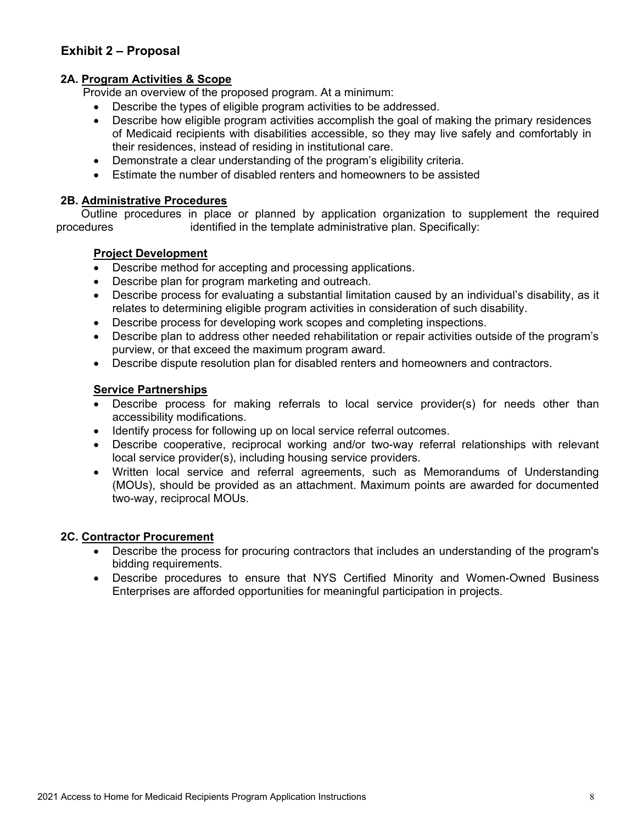### <span id="page-8-0"></span>**Exhibit 2 – Proposal**

### **2A. Program Activities & Scope**

Provide an overview of the proposed program. At a minimum:

- Describe the types of eligible program activities to be addressed.
- Describe how eligible program activities accomplish the goal of making the primary residences of Medicaid recipients with disabilities accessible, so they may live safely and comfortably in their residences, instead of residing in institutional care.
- Demonstrate a clear understanding of the program's eligibility criteria.
- Estimate the number of disabled renters and homeowners to be assisted

### **2B. Administrative Procedures**

 Outline procedures in place or planned by application organization to supplement the required procedures identified in the template administrative plan. Specifically:

### **Project Development**

- Describe method for accepting and processing applications.
- Describe plan for program marketing and outreach.
- Describe process for evaluating a substantial limitation caused by an individual's disability, as it relates to determining eligible program activities in consideration of such disability.
- Describe process for developing work scopes and completing inspections.
- Describe plan to address other needed rehabilitation or repair activities outside of the program's purview, or that exceed the maximum program award.
- Describe dispute resolution plan for disabled renters and homeowners and contractors.

### **Service Partnerships**

- Describe process for making referrals to local service provider(s) for needs other than accessibility modifications.
- Identify process for following up on local service referral outcomes.
- Describe cooperative, reciprocal working and/or two-way referral relationships with relevant local service provider(s), including housing service providers.
- Written local service and referral agreements, such as Memorandums of Understanding (MOUs), should be provided as an attachment. Maximum points are awarded for documented two-way, reciprocal MOUs.

#### **2C. Contractor Procurement**

- Describe the process for procuring contractors that includes an understanding of the program's bidding requirements.
- Describe procedures to ensure that NYS Certified Minority and Women-Owned Business Enterprises are afforded opportunities for meaningful participation in projects.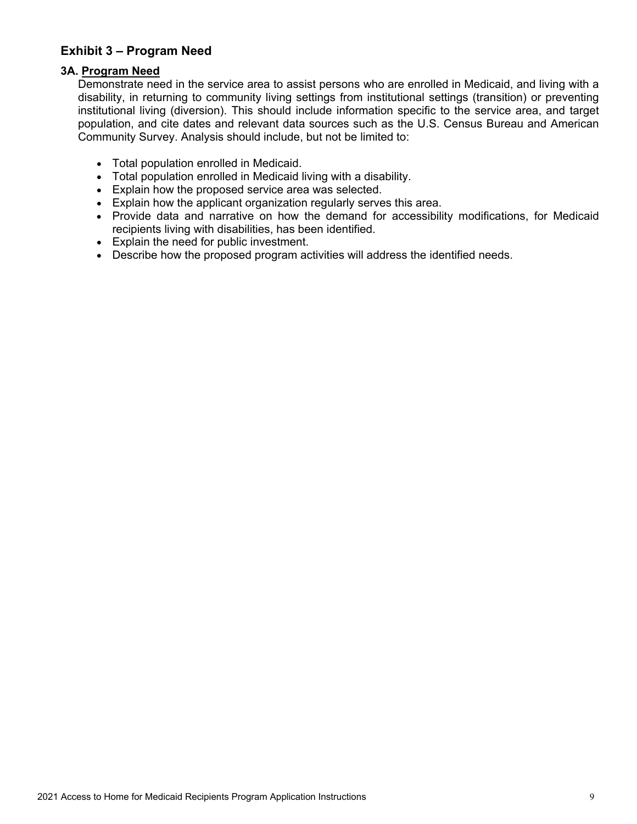### <span id="page-9-0"></span>**Exhibit 3 – Program Need**

### **3A. Program Need**

Demonstrate need in the service area to assist persons who are enrolled in Medicaid, and living with a disability, in returning to community living settings from institutional settings (transition) or preventing institutional living (diversion). This should include information specific to the service area, and target population, and cite dates and relevant data sources such as the U.S. Census Bureau and American Community Survey. Analysis should include, but not be limited to:

- Total population enrolled in Medicaid.
- Total population enrolled in Medicaid living with a disability.
- Explain how the proposed service area was selected.
- Explain how the applicant organization regularly serves this area.
- Provide data and narrative on how the demand for accessibility modifications, for Medicaid recipients living with disabilities, has been identified.
- Explain the need for public investment.
- Describe how the proposed program activities will address the identified needs.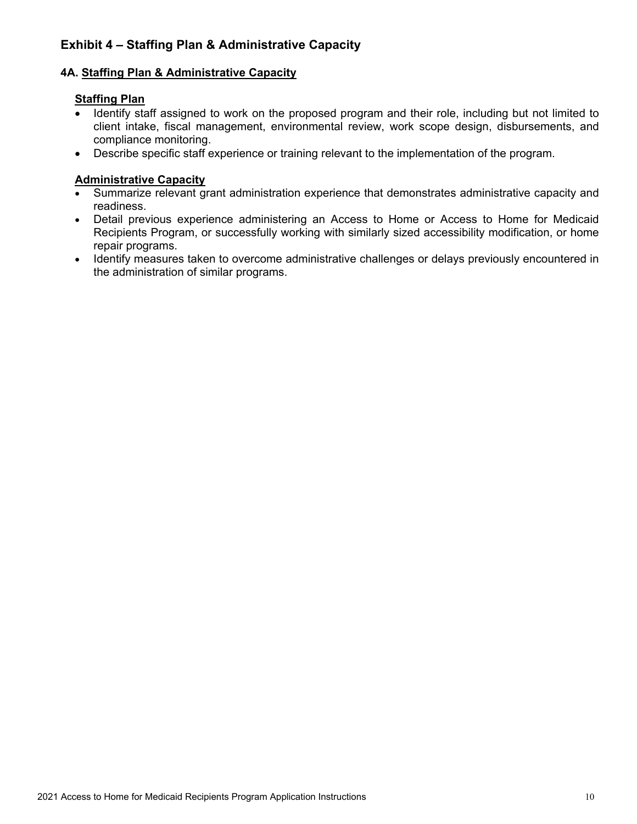# <span id="page-10-0"></span>**Exhibit 4 – Staffing Plan & Administrative Capacity**

### **4A. Staffing Plan & Administrative Capacity**

### **Staffing Plan**

- Identify staff assigned to work on the proposed program and their role, including but not limited to client intake, fiscal management, environmental review, work scope design, disbursements, and compliance monitoring.
- Describe specific staff experience or training relevant to the implementation of the program.

### **Administrative Capacity**

- Summarize relevant grant administration experience that demonstrates administrative capacity and readiness.
- Detail previous experience administering an Access to Home or Access to Home for Medicaid Recipients Program, or successfully working with similarly sized accessibility modification, or home repair programs.
- Identify measures taken to overcome administrative challenges or delays previously encountered in the administration of similar programs.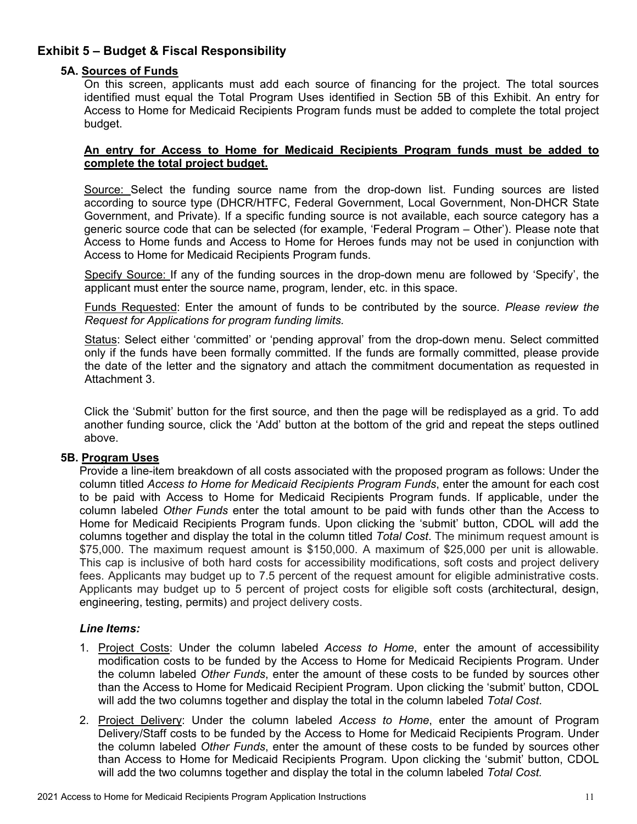### <span id="page-11-0"></span>**Exhibit 5 – Budget & Fiscal Responsibility**

### **5A. Sources of Funds**

On this screen, applicants must add each source of financing for the project. The total sources identified must equal the Total Program Uses identified in Section 5B of this Exhibit. An entry for Access to Home for Medicaid Recipients Program funds must be added to complete the total project budget.

### **An entry for Access to Home for Medicaid Recipients Program funds must be added to complete the total project budget.**

Source: Select the funding source name from the drop-down list. Funding sources are listed according to source type (DHCR/HTFC, Federal Government, Local Government, Non-DHCR State Government, and Private). If a specific funding source is not available, each source category has a generic source code that can be selected (for example, 'Federal Program – Other'). Please note that Access to Home funds and Access to Home for Heroes funds may not be used in conjunction with Access to Home for Medicaid Recipients Program funds.

Specify Source: If any of the funding sources in the drop-down menu are followed by 'Specify', the applicant must enter the source name, program, lender, etc. in this space.

Funds Requested: Enter the amount of funds to be contributed by the source. *Please review the Request for Applications for program funding limits.*

Status: Select either 'committed' or 'pending approval' from the drop-down menu. Select committed only if the funds have been formally committed. If the funds are formally committed, please provide the date of the letter and the signatory and attach the commitment documentation as requested in Attachment 3.

Click the 'Submit' button for the first source, and then the page will be redisplayed as a grid. To add another funding source, click the 'Add' button at the bottom of the grid and repeat the steps outlined above.

### **5B. Program Uses**

Provide a line-item breakdown of all costs associated with the proposed program as follows: Under the column titled *Access to Home for Medicaid Recipients Program Funds*, enter the amount for each cost to be paid with Access to Home for Medicaid Recipients Program funds. If applicable, under the column labeled *Other Funds* enter the total amount to be paid with funds other than the Access to Home for Medicaid Recipients Program funds. Upon clicking the 'submit' button, CDOL will add the columns together and display the total in the column titled *Total Cost*. The minimum request amount is \$75,000. The maximum request amount is \$150,000. A maximum of \$25,000 per unit is allowable. This cap is inclusive of both hard costs for accessibility modifications, soft costs and project delivery fees. Applicants may budget up to 7.5 percent of the request amount for eligible administrative costs. Applicants may budget up to 5 percent of project costs for eligible soft costs (architectural, design, engineering, testing, permits) and project delivery costs.

### *Line Items:*

- 1. Project Costs: Under the column labeled *Access to Home*, enter the amount of accessibility modification costs to be funded by the Access to Home for Medicaid Recipients Program. Under the column labeled *Other Funds*, enter the amount of these costs to be funded by sources other than the Access to Home for Medicaid Recipient Program. Upon clicking the 'submit' button, CDOL will add the two columns together and display the total in the column labeled *Total Cost*.
- 2. Project Delivery: Under the column labeled *Access to Home*, enter the amount of Program Delivery/Staff costs to be funded by the Access to Home for Medicaid Recipients Program. Under the column labeled *Other Funds*, enter the amount of these costs to be funded by sources other than Access to Home for Medicaid Recipients Program. Upon clicking the 'submit' button, CDOL will add the two columns together and display the total in the column labeled *Total Cost.*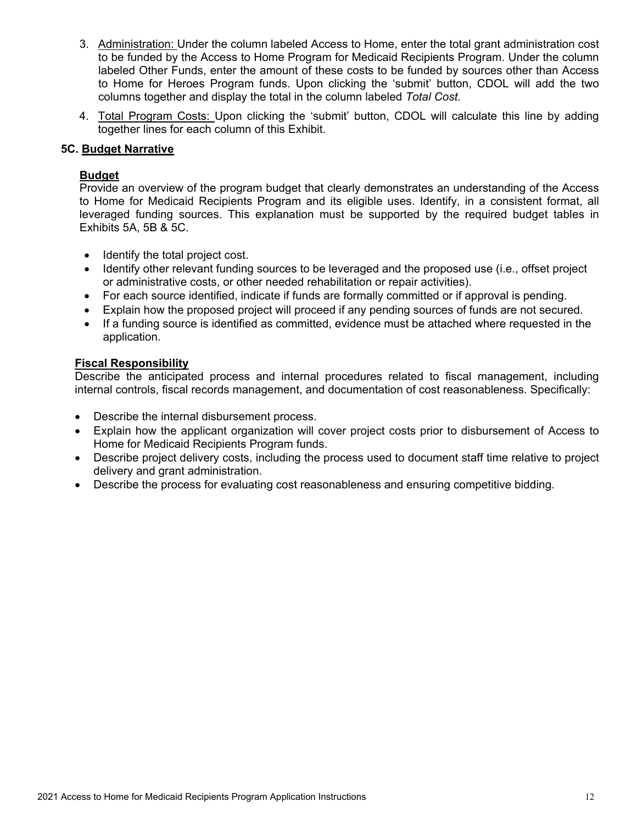- 3. Administration: Under the column labeled Access to Home, enter the total grant administration cost to be funded by the Access to Home Program for Medicaid Recipients Program. Under the column labeled Other Funds, enter the amount of these costs to be funded by sources other than Access to Home for Heroes Program funds. Upon clicking the 'submit' button, CDOL will add the two columns together and display the total in the column labeled *Total Cost.*
- 4. Total Program Costs: Upon clicking the 'submit' button, CDOL will calculate this line by adding together lines for each column of this Exhibit.

### **5C. Budget Narrative**

### **Budget**

Provide an overview of the program budget that clearly demonstrates an understanding of the Access to Home for Medicaid Recipients Program and its eligible uses. Identify, in a consistent format, all leveraged funding sources. This explanation must be supported by the required budget tables in Exhibits 5A, 5B & 5C.

- Identify the total project cost.
- Identify other relevant funding sources to be leveraged and the proposed use (i.e., offset project or administrative costs, or other needed rehabilitation or repair activities).
- For each source identified, indicate if funds are formally committed or if approval is pending.
- Explain how the proposed project will proceed if any pending sources of funds are not secured.
- If a funding source is identified as committed, evidence must be attached where requested in the application.

### **Fiscal Responsibility**

Describe the anticipated process and internal procedures related to fiscal management, including internal controls, fiscal records management, and documentation of cost reasonableness. Specifically:

- Describe the internal disbursement process.
- Explain how the applicant organization will cover project costs prior to disbursement of Access to Home for Medicaid Recipients Program funds.
- Describe project delivery costs, including the process used to document staff time relative to project delivery and grant administration.
- Describe the process for evaluating cost reasonableness and ensuring competitive bidding.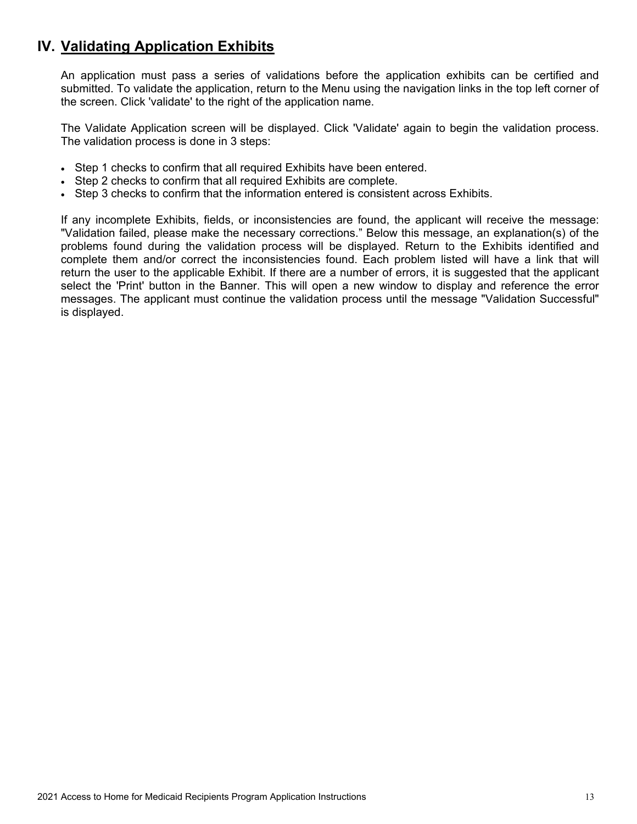# <span id="page-13-0"></span>**IV. Validating Application Exhibits**

An application must pass a series of validations before the application exhibits can be certified and submitted. To validate the application, return to the Menu using the navigation links in the top left corner of the screen. Click 'validate' to the right of the application name.

The Validate Application screen will be displayed. Click 'Validate' again to begin the validation process. The validation process is done in 3 steps:

- Step 1 checks to confirm that all required Exhibits have been entered.
- Step 2 checks to confirm that all required Exhibits are complete.
- Step 3 checks to confirm that the information entered is consistent across Exhibits.

If any incomplete Exhibits, fields, or inconsistencies are found, the applicant will receive the message: "Validation failed, please make the necessary corrections." Below this message, an explanation(s) of the problems found during the validation process will be displayed. Return to the Exhibits identified and complete them and/or correct the inconsistencies found. Each problem listed will have a link that will return the user to the applicable Exhibit. If there are a number of errors, it is suggested that the applicant select the 'Print' button in the Banner. This will open a new window to display and reference the error messages. The applicant must continue the validation process until the message "Validation Successful" is displayed.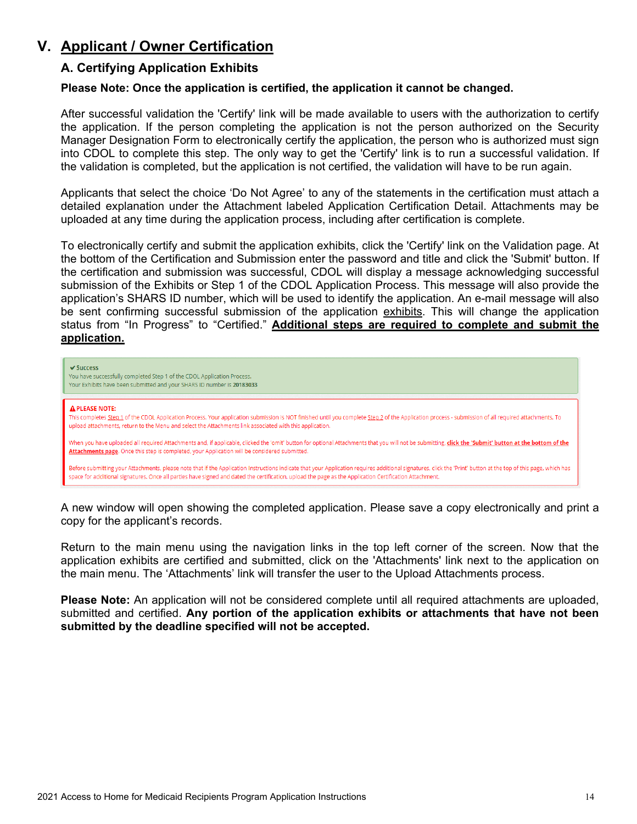# <span id="page-14-1"></span><span id="page-14-0"></span>**V. Applicant / Owner Certification**

### **A. Certifying Application Exhibits**

### **Please Note: Once the application is certified, the application it cannot be changed.**

After successful validation the 'Certify' link will be made available to users with the authorization to certify the application. If the person completing the application is not the person authorized on the Security Manager Designation Form to electronically certify the application, the person who is authorized must sign into CDOL to complete this step. The only way to get the 'Certify' link is to run a successful validation. If the validation is completed, but the application is not certified, the validation will have to be run again.

Applicants that select the choice 'Do Not Agree' to any of the statements in the certification must attach a detailed explanation under the Attachment labeled Application Certification Detail. Attachments may be uploaded at any time during the application process, including after certification is complete.

To electronically certify and submit the application exhibits, click the 'Certify' link on the Validation page. At the bottom of the Certification and Submission enter the password and title and click the 'Submit' button. If the certification and submission was successful, CDOL will display a message acknowledging successful submission of the Exhibits or Step 1 of the CDOL Application Process. This message will also provide the application's SHARS ID number, which will be used to identify the application. An e-mail message will also be sent confirming successful submission of the application exhibits. This will change the application status from "In Progress" to "Certified." **Additional steps are required to complete and submit the application.**



A new window will open showing the completed application. Please save a copy electronically and print a copy for the applicant's records.

Return to the main menu using the navigation links in the top left corner of the screen. Now that the application exhibits are certified and submitted, click on the 'Attachments' link next to the application on the main menu. The 'Attachments' link will transfer the user to the Upload Attachments process.

**Please Note:** An application will not be considered complete until all required attachments are uploaded, submitted and certified. **Any portion of the application exhibits or attachments that have not been submitted by the deadline specified will not be accepted.**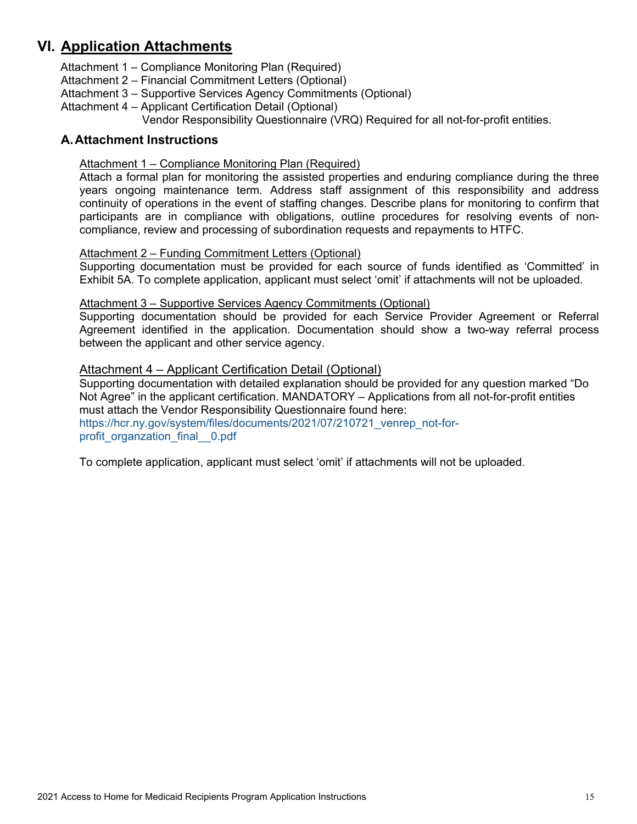# <span id="page-15-0"></span>**VI. Application Attachments**

Attachment 1 – Compliance Monitoring Plan (Required)

Attachment 2 – Financial Commitment Letters (Optional)

- Attachment 3 Supportive Services Agency Commitments (Optional)
- Attachment 4 Applicant Certification Detail (Optional) Vendor Responsibility Questionnaire (VRQ) Required for all not-for-profit entities.

### <span id="page-15-2"></span><span id="page-15-1"></span>**A.Attachment Instructions**

### Attachment 1 – Compliance Monitoring Plan (Required)

Attach a formal plan for monitoring the assisted properties and enduring compliance during the three years ongoing maintenance term. Address staff assignment of this responsibility and address continuity of operations in the event of staffing changes. Describe plans for monitoring to confirm that participants are in compliance with obligations, outline procedures for resolving events of noncompliance, review and processing of subordination requests and repayments to HTFC.

### <span id="page-15-3"></span>Attachment 2 – Funding Commitment Letters (Optional)

Supporting documentation must be provided for each source of funds identified as 'Committed' in Exhibit 5A. To complete application, applicant must select 'omit' if attachments will not be uploaded.

### <span id="page-15-4"></span>Attachment 3 – Supportive Services Agency Commitments (Optional)

Supporting documentation should be provided for each Service Provider Agreement or Referral Agreement identified in the application. Documentation should show a two-way referral process between the applicant and other service agency.

### Attachment 4 – Applicant Certification Detail (Optional)

Supporting documentation with detailed explanation should be provided for any question marked "Do Not Agree" in the applicant certification. MANDATORY – Applications from all not-for-profit entities must attach the Vendor Responsibility Questionnaire found here: [https://hcr.ny.gov/system/files/documents/2021/07/210721\\_venrep\\_not-for](https://hcr.ny.gov/system/files/documents/2021/07/210721_venrep_not-for-profit_organzation_final__0.pdf)[profit\\_organzation\\_final\\_\\_0.pdf](https://hcr.ny.gov/system/files/documents/2021/07/210721_venrep_not-for-profit_organzation_final__0.pdf)

To complete application, applicant must select 'omit' if attachments will not be uploaded.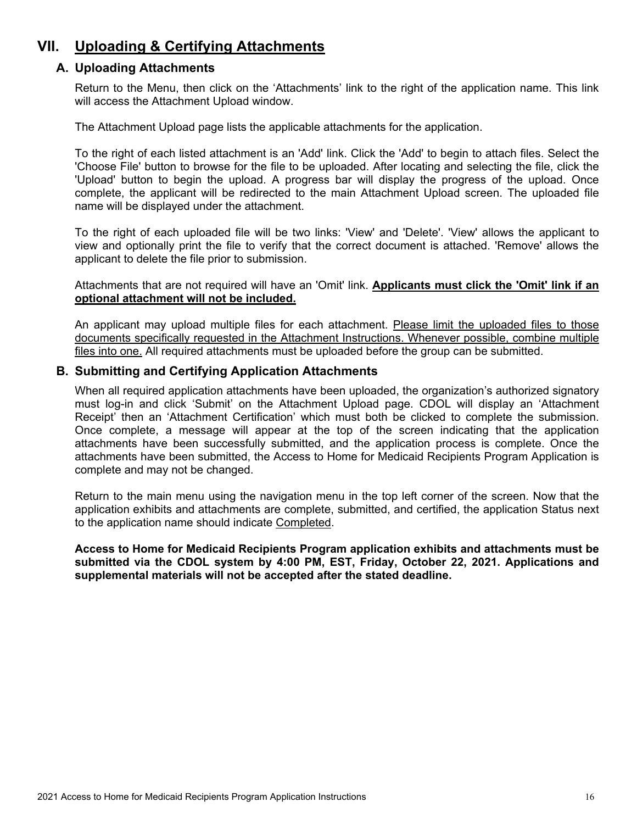# <span id="page-16-1"></span><span id="page-16-0"></span>**VII. Uploading & Certifying Attachments**

### **A. Uploading Attachments**

Return to the Menu, then click on the 'Attachments' link to the right of the application name. This link will access the Attachment Upload window.

The Attachment Upload page lists the applicable attachments for the application.

To the right of each listed attachment is an 'Add' link. Click the 'Add' to begin to attach files. Select the 'Choose File' button to browse for the file to be uploaded. After locating and selecting the file, click the 'Upload' button to begin the upload. A progress bar will display the progress of the upload. Once complete, the applicant will be redirected to the main Attachment Upload screen. The uploaded file name will be displayed under the attachment.

To the right of each uploaded file will be two links: 'View' and 'Delete'. 'View' allows the applicant to view and optionally print the file to verify that the correct document is attached. 'Remove' allows the applicant to delete the file prior to submission.

Attachments that are not required will have an 'Omit' link. **Applicants must click the 'Omit' link if an optional attachment will not be included.**

An applicant may upload multiple files for each attachment. Please limit the uploaded files to those documents specifically requested in the Attachment Instructions. Whenever possible, combine multiple files into one. All required attachments must be uploaded before the group can be submitted.

### <span id="page-16-2"></span>**B. Submitting and Certifying Application Attachments**

When all required application attachments have been uploaded, the organization's authorized signatory must log-in and click 'Submit' on the Attachment Upload page. CDOL will display an 'Attachment Receipt' then an 'Attachment Certification' which must both be clicked to complete the submission. Once complete, a message will appear at the top of the screen indicating that the application attachments have been successfully submitted, and the application process is complete. Once the attachments have been submitted, the Access to Home for Medicaid Recipients Program Application is complete and may not be changed.

Return to the main menu using the navigation menu in the top left corner of the screen. Now that the application exhibits and attachments are complete, submitted, and certified, the application Status next to the application name should indicate Completed.

**Access to Home for Medicaid Recipients Program application exhibits and attachments must be submitted via the CDOL system by 4:00 PM, EST, Friday, October 22, 2021. Applications and supplemental materials will not be accepted after the stated deadline.**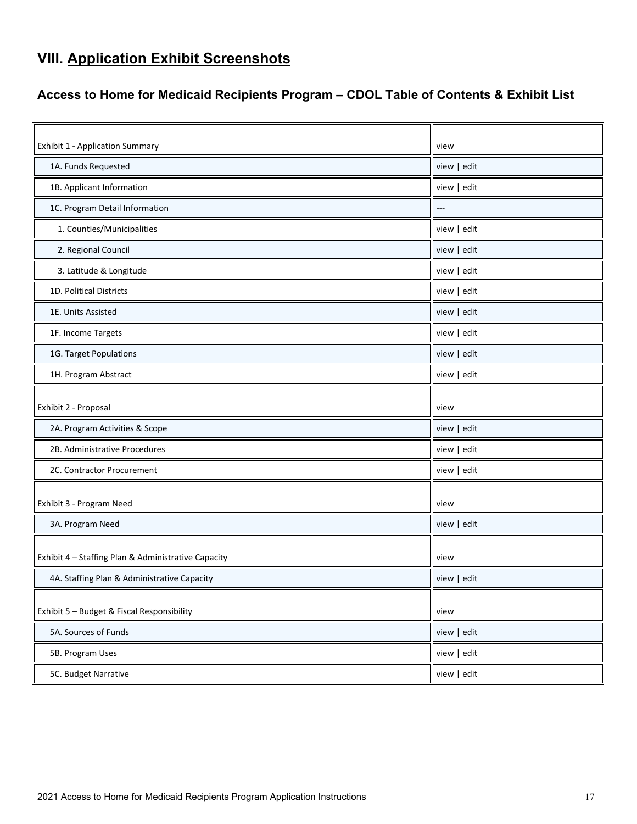# <span id="page-17-0"></span>**VIII. Application Exhibit Screenshots**

# <span id="page-17-1"></span>**Access to Home for Medicaid Recipients Program – CDOL Table of Contents & Exhibit List**

| <b>Exhibit 1 - Application Summary</b>              | view        |
|-----------------------------------------------------|-------------|
| 1A. Funds Requested                                 | view   edit |
| 1B. Applicant Information                           | view   edit |
| 1C. Program Detail Information                      |             |
| 1. Counties/Municipalities                          | view   edit |
| 2. Regional Council                                 | view   edit |
| 3. Latitude & Longitude                             | view   edit |
| 1D. Political Districts                             | view   edit |
| 1E. Units Assisted                                  | view   edit |
| 1F. Income Targets                                  | view   edit |
| 1G. Target Populations                              | view   edit |
| 1H. Program Abstract                                | view   edit |
|                                                     |             |
| Exhibit 2 - Proposal                                | view        |
| 2A. Program Activities & Scope                      | view   edit |
| 2B. Administrative Procedures                       | view   edit |
| 2C. Contractor Procurement                          | view   edit |
|                                                     |             |
| Exhibit 3 - Program Need                            | view        |
| 3A. Program Need                                    | view   edit |
| Exhibit 4 - Staffing Plan & Administrative Capacity | view        |
|                                                     |             |
| 4A. Staffing Plan & Administrative Capacity         | view   edit |
| Exhibit 5 - Budget & Fiscal Responsibility          | view        |
| 5A. Sources of Funds                                | view   edit |
| 5B. Program Uses                                    | view   edit |
| 5C. Budget Narrative                                | view   edit |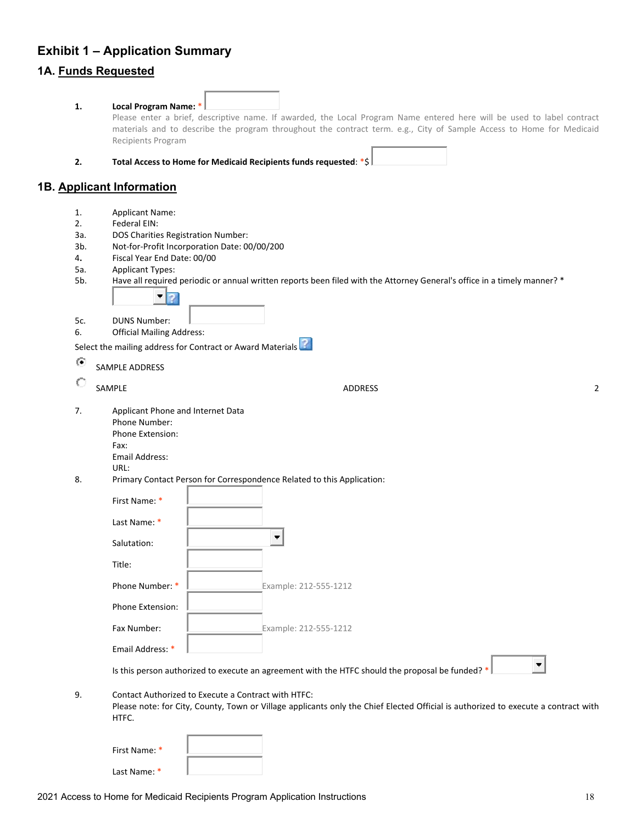# <span id="page-18-0"></span>**Exhibit 1 – Application Summary 1A. Funds Requested**

| 1.  | Local Program Name: *<br>Please enter a brief, descriptive name. If awarded, the Local Program Name entered here will be used to label contract                                                    |
|-----|----------------------------------------------------------------------------------------------------------------------------------------------------------------------------------------------------|
|     | materials and to describe the program throughout the contract term. e.g., City of Sample Access to Home for Medicaid<br>Recipients Program                                                         |
| 2.  | Total Access to Home for Medicaid Recipients funds requested: *\$                                                                                                                                  |
|     | 1B. Applicant Information                                                                                                                                                                          |
| 1.  | <b>Applicant Name:</b>                                                                                                                                                                             |
| 2.  | Federal EIN:                                                                                                                                                                                       |
| За. | DOS Charities Registration Number:                                                                                                                                                                 |
| 3b. | Not-for-Profit Incorporation Date: 00/00/200                                                                                                                                                       |
| 4.  | Fiscal Year End Date: 00/00                                                                                                                                                                        |
| 5a. | <b>Applicant Types:</b>                                                                                                                                                                            |
| 5b. | Have all required periodic or annual written reports been filed with the Attorney General's office in a timely manner? *                                                                           |
| 5c. | <b>DUNS Number:</b>                                                                                                                                                                                |
| 6.  | <b>Official Mailing Address:</b>                                                                                                                                                                   |
|     |                                                                                                                                                                                                    |
|     | Select the mailing address for Contract or Award Materials                                                                                                                                         |
| ⊙   | SAMPLE ADDRESS                                                                                                                                                                                     |
|     | SAMPLE<br>$\overline{2}$<br><b>ADDRESS</b>                                                                                                                                                         |
| 7.  | Applicant Phone and Internet Data<br>Phone Number:<br>Phone Extension:<br>Fax:<br>Email Address:<br>URL:                                                                                           |
| 8.  | Primary Contact Person for Correspondence Related to this Application:                                                                                                                             |
|     | First Name: *                                                                                                                                                                                      |
|     | Last Name: *                                                                                                                                                                                       |
|     | Salutation:                                                                                                                                                                                        |
|     | Title:                                                                                                                                                                                             |
|     | Phone Number: *<br>Example: 212-555-1212                                                                                                                                                           |
|     | <b>Phone Extension:</b>                                                                                                                                                                            |
|     | Fax Number:<br>Example: 212-555-1212                                                                                                                                                               |
|     | Email Address: *                                                                                                                                                                                   |
|     | Is this person authorized to execute an agreement with the HTFC should the proposal be funded? *                                                                                                   |
| 9.  | Contact Authorized to Execute a Contract with HTFC:<br>Please note: for City, County, Town or Village applicants only the Chief Elected Official is authorized to execute a contract with<br>HTFC. |
|     |                                                                                                                                                                                                    |

First Name: \*

Last Name: \*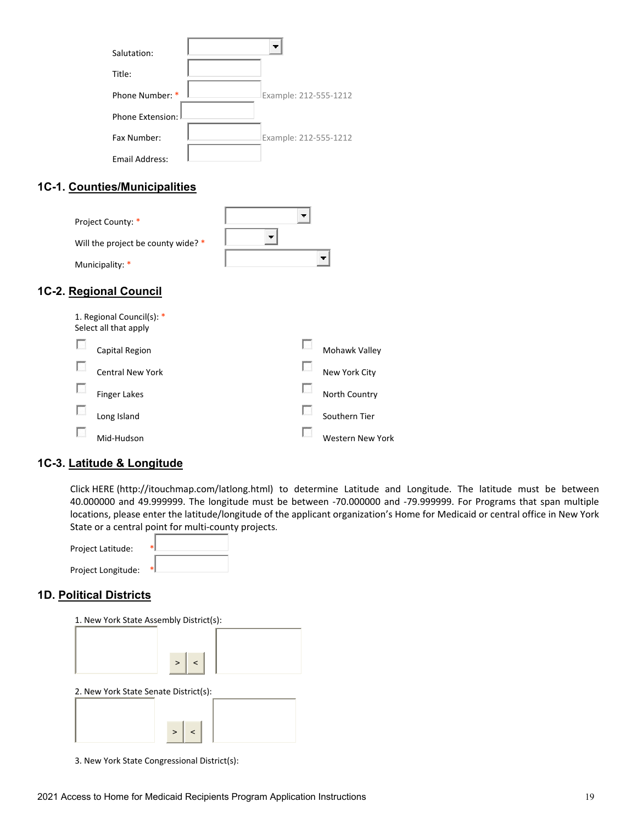| Salutation:      |                       |
|------------------|-----------------------|
| Title:           |                       |
| Phone Number: *  | Example: 212-555-1212 |
| Phone Extension: |                       |
| Fax Number:      | Example: 212-555-1212 |
| Email Address:   |                       |

### **1C-1. Counties/Municipalities**

| Project County: *                  |  |
|------------------------------------|--|
| Will the project be county wide? * |  |
| Municipality: *                    |  |

### **1C-2. Regional Council**

| 1. Regional Council(s): *<br>Select all that apply |                  |
|----------------------------------------------------|------------------|
| Capital Region                                     | Mohawk Valley    |
| Central New York                                   | New York City    |
| Finger Lakes                                       | North Country    |
| Long Island                                        | Southern Tier    |
| Mid-Hudson                                         | Western New York |

### **1C-3. Latitude & Longitude**

Click HERE (http://itouchmap.com/latlong.html) to determine Latitude and Longitude. The latitude must be between 40.000000 and 49.999999. The longitude must be between -70.000000 and -79.999999. For Programs that span multiple locations, please enter the latitude/longitude of the applicant organization's Home for Medicaid or central office in New York State or a central point for multi-county projects.

| <b>Project Latitude:</b> |    |
|--------------------------|----|
| Project Longitude:       | *1 |

### **1D. Political Districts**

| 1. New York State Assembly District(s): |  |
|-----------------------------------------|--|
| $\geq$<br>$\vert$ < $\vert$             |  |
| 2. New York State Senate District(s):   |  |
| $\geq$<br>$\sim$                        |  |

3. New York State Congressional District(s):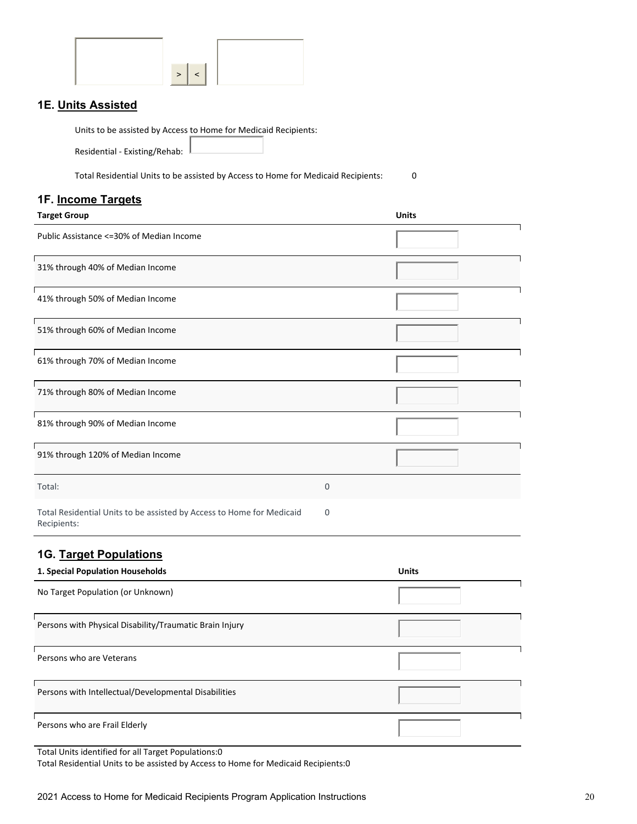| ⋗ |  |
|---|--|

### **1E. Units Assisted**

Units to be assisted by Access to Home for Medicaid Recipients:

Residential - Existing/Rehab:

Total Residential Units to be assisted by Access to Home for Medicaid Recipients: 0

### **1F. Income Targets**

| <b>Target Group</b>                                                                  |             | <b>Units</b> |
|--------------------------------------------------------------------------------------|-------------|--------------|
| Public Assistance <= 30% of Median Income                                            |             |              |
| 31% through 40% of Median Income                                                     |             |              |
| 41% through 50% of Median Income                                                     |             |              |
| 51% through 60% of Median Income                                                     |             |              |
| 61% through 70% of Median Income                                                     |             |              |
| 71% through 80% of Median Income                                                     |             |              |
| 81% through 90% of Median Income                                                     |             |              |
| 91% through 120% of Median Income                                                    |             |              |
| Total:                                                                               | $\mathbf 0$ |              |
| Total Residential Units to be assisted by Access to Home for Medicaid<br>Recipients: | 0           |              |

### **1G. Target Populations**

| 1. Special Population Households                        | <b>Units</b> |
|---------------------------------------------------------|--------------|
| No Target Population (or Unknown)                       |              |
| Persons with Physical Disability/Traumatic Brain Injury |              |
| Persons who are Veterans                                |              |
| Persons with Intellectual/Developmental Disabilities    |              |
| Persons who are Frail Elderly                           |              |

Total Units identified for all Target Populations:0

Total Residential Units to be assisted by Access to Home for Medicaid Recipients:0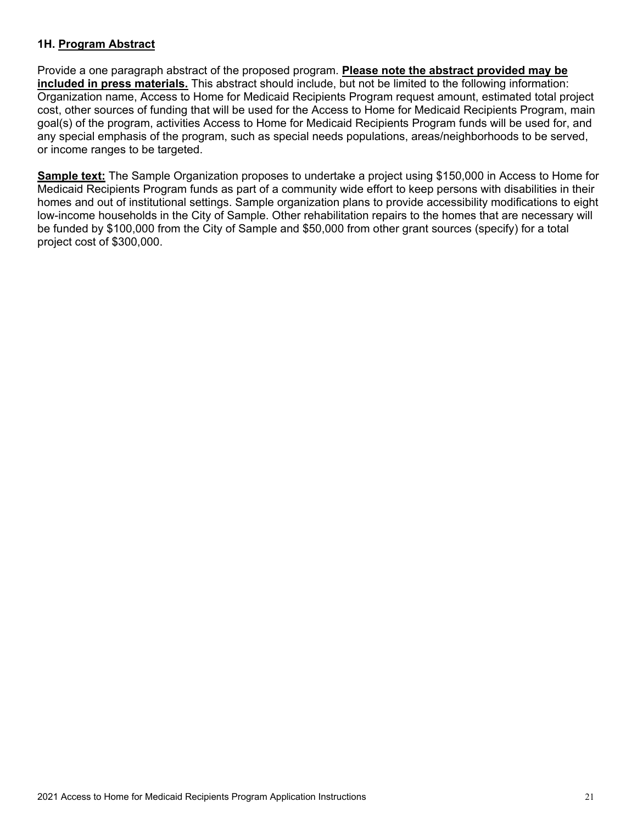### **1H. Program Abstract**

Provide a one paragraph abstract of the proposed program. **Please note the abstract provided may be included in press materials.** This abstract should include, but not be limited to the following information: Organization name, Access to Home for Medicaid Recipients Program request amount, estimated total project cost, other sources of funding that will be used for the Access to Home for Medicaid Recipients Program, main goal(s) of the program, activities Access to Home for Medicaid Recipients Program funds will be used for, and any special emphasis of the program, such as special needs populations, areas/neighborhoods to be served, or income ranges to be targeted.

**Sample text:** The Sample Organization proposes to undertake a project using \$150,000 in Access to Home for Medicaid Recipients Program funds as part of a community wide effort to keep persons with disabilities in their homes and out of institutional settings. Sample organization plans to provide accessibility modifications to eight low-income households in the City of Sample. Other rehabilitation repairs to the homes that are necessary will be funded by \$100,000 from the City of Sample and \$50,000 from other grant sources (specify) for a total project cost of \$300,000.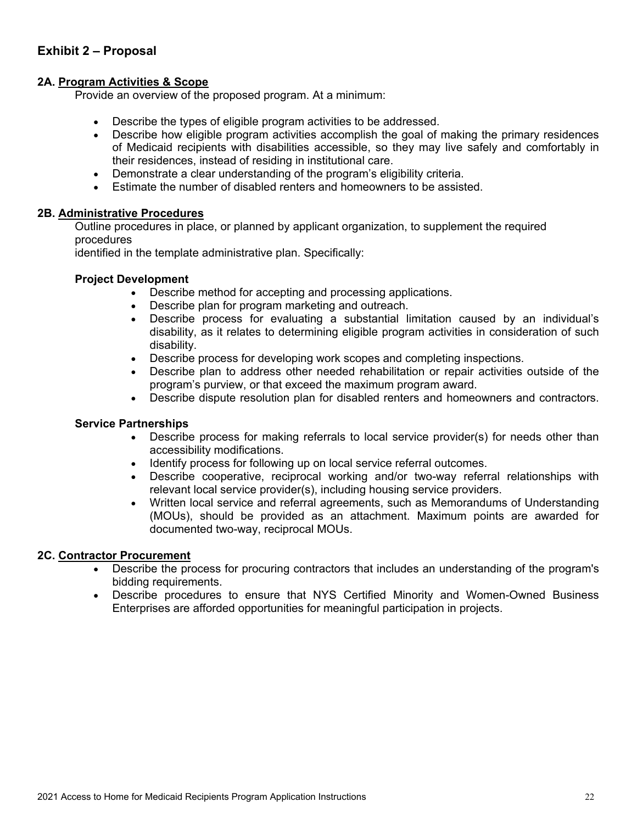### <span id="page-22-0"></span>**Exhibit 2 – Proposal**

### **2A. Program Activities & Scope**

Provide an overview of the proposed program. At a minimum:

- Describe the types of eligible program activities to be addressed.
- Describe how eligible program activities accomplish the goal of making the primary residences of Medicaid recipients with disabilities accessible, so they may live safely and comfortably in their residences, instead of residing in institutional care.
- Demonstrate a clear understanding of the program's eligibility criteria.
- Estimate the number of disabled renters and homeowners to be assisted.

### **2B. Administrative Procedures**

Outline procedures in place, or planned by applicant organization, to supplement the required procedures

identified in the template administrative plan. Specifically:

#### **Project Development**

- Describe method for accepting and processing applications.
- Describe plan for program marketing and outreach.
- Describe process for evaluating a substantial limitation caused by an individual's disability, as it relates to determining eligible program activities in consideration of such disability.
- Describe process for developing work scopes and completing inspections.
- Describe plan to address other needed rehabilitation or repair activities outside of the program's purview, or that exceed the maximum program award.
- Describe dispute resolution plan for disabled renters and homeowners and contractors.

#### **Service Partnerships**

- Describe process for making referrals to local service provider(s) for needs other than accessibility modifications.
- Identify process for following up on local service referral outcomes.
- Describe cooperative, reciprocal working and/or two-way referral relationships with relevant local service provider(s), including housing service providers.
- Written local service and referral agreements, such as Memorandums of Understanding (MOUs), should be provided as an attachment. Maximum points are awarded for documented two-way, reciprocal MOUs.

#### **2C. Contractor Procurement**

- Describe the process for procuring contractors that includes an understanding of the program's bidding requirements.
- Describe procedures to ensure that NYS Certified Minority and Women-Owned Business Enterprises are afforded opportunities for meaningful participation in projects.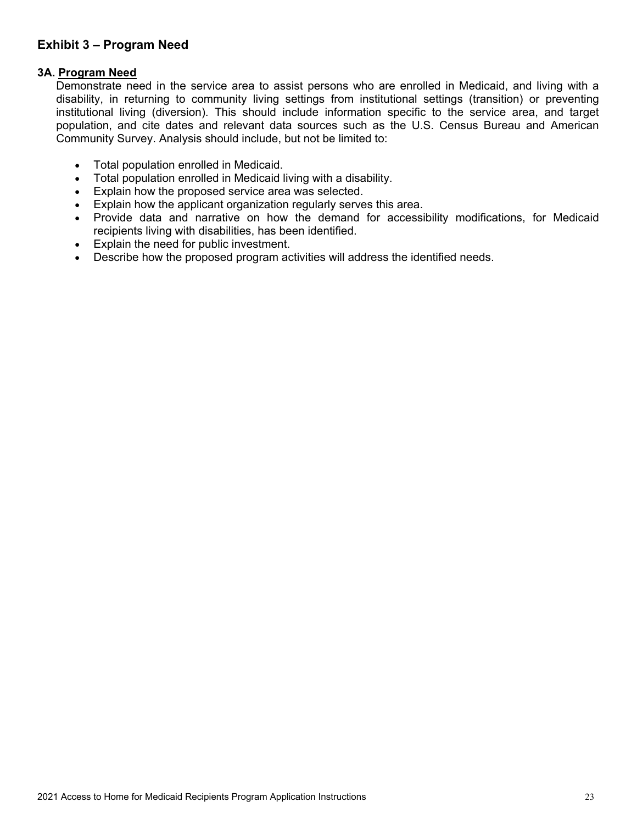### <span id="page-23-0"></span>**Exhibit 3 – Program Need**

### **3A. Program Need**

Demonstrate need in the service area to assist persons who are enrolled in Medicaid, and living with a disability, in returning to community living settings from institutional settings (transition) or preventing institutional living (diversion). This should include information specific to the service area, and target population, and cite dates and relevant data sources such as the U.S. Census Bureau and American Community Survey. Analysis should include, but not be limited to:

- Total population enrolled in Medicaid.
- Total population enrolled in Medicaid living with a disability.
- Explain how the proposed service area was selected.
- Explain how the applicant organization regularly serves this area.
- Provide data and narrative on how the demand for accessibility modifications, for Medicaid recipients living with disabilities, has been identified.
- Explain the need for public investment.
- Describe how the proposed program activities will address the identified needs.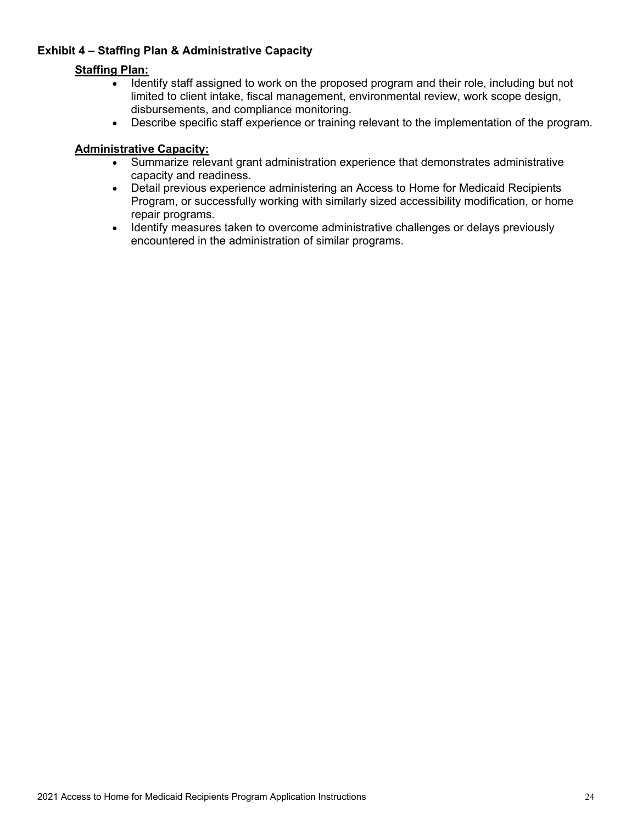### <span id="page-24-0"></span>**Exhibit 4 – Staffing Plan & Administrative Capacity**

### **Staffing Plan:**

- Identify staff assigned to work on the proposed program and their role, including but not limited to client intake, fiscal management, environmental review, work scope design, disbursements, and compliance monitoring.
- Describe specific staff experience or training relevant to the implementation of the program.

### **Administrative Capacity:**

- Summarize relevant grant administration experience that demonstrates administrative capacity and readiness.
- Detail previous experience administering an Access to Home for Medicaid Recipients Program, or successfully working with similarly sized accessibility modification, or home repair programs.
- Identify measures taken to overcome administrative challenges or delays previously encountered in the administration of similar programs.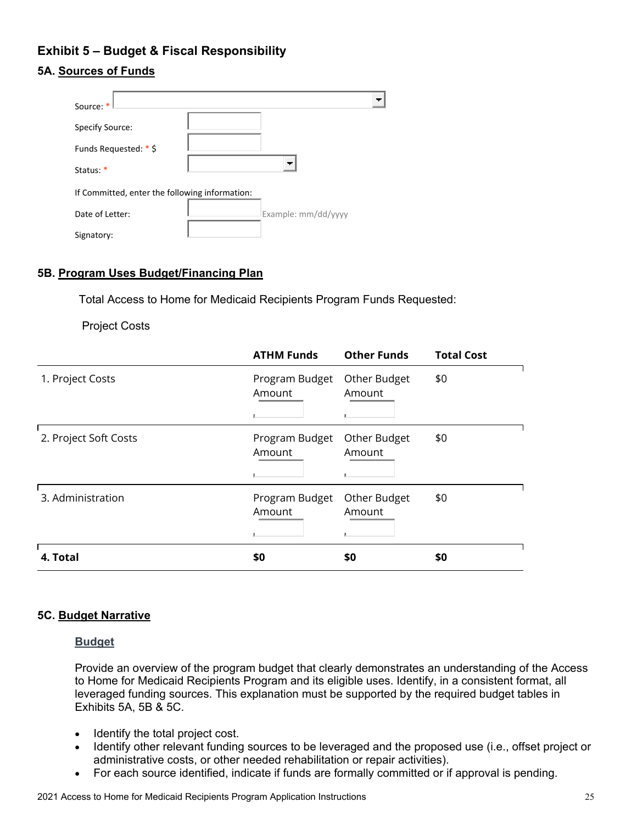# <span id="page-25-0"></span>**Exhibit 5 – Budget & Fiscal Responsibility**

### **5A. Sources of Funds**

| Source: *                                      |                     |
|------------------------------------------------|---------------------|
| Specify Source:                                |                     |
| Funds Requested: * \$                          |                     |
| Status: *                                      | - -                 |
| If Committed, enter the following information: |                     |
| Date of Letter:                                | Example: mm/dd/yyyy |
| Signatory:                                     |                     |

### **5B. Program Uses Budget/Financing Plan**

Total Access to Home for Medicaid Recipients Program Funds Requested:

Project Costs

|                       | <b>ATHM Funds</b>        | <b>Other Funds</b>          | <b>Total Cost</b> |
|-----------------------|--------------------------|-----------------------------|-------------------|
| 1. Project Costs      | Program Budget<br>Amount | Other Budget<br>Amount<br>л | \$0               |
| 2. Project Soft Costs | Program Budget<br>Amount | Other Budget<br>Amount<br>ш | \$0               |
| 3. Administration     | Program Budget<br>Amount | Other Budget<br>Amount      | \$0               |
| 4. Total              | \$0                      | \$0                         | \$0               |

### **5C. Budget Narrative**

#### **Budget**

Provide an overview of the program budget that clearly demonstrates an understanding of the Access to Home for Medicaid Recipients Program and its eligible uses. Identify, in a consistent format, all leveraged funding sources. This explanation must be supported by the required budget tables in Exhibits 5A, 5B & 5C.

- Identify the total project cost.
- Identify other relevant funding sources to be leveraged and the proposed use (i.e., offset project or administrative costs, or other needed rehabilitation or repair activities).
- For each source identified, indicate if funds are formally committed or if approval is pending.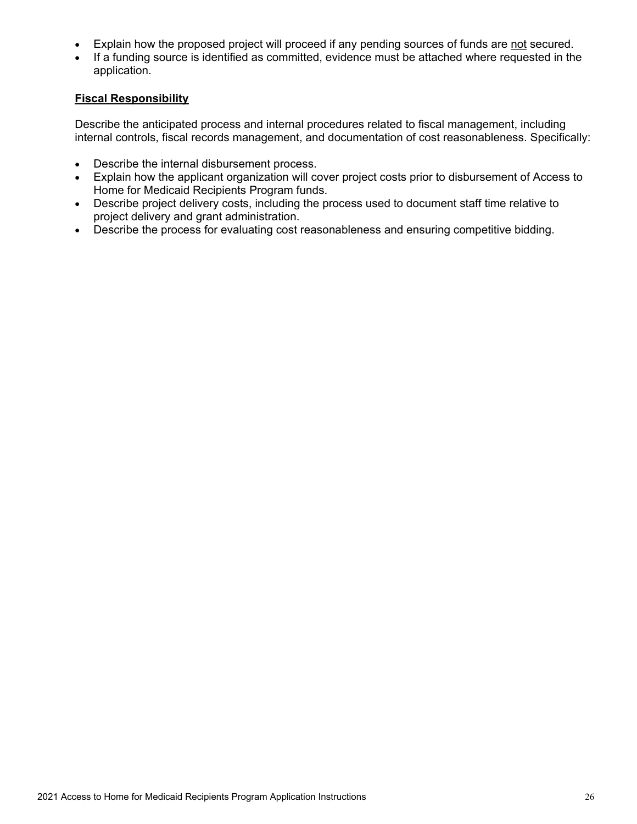- Explain how the proposed project will proceed if any pending sources of funds are not secured.
- If a funding source is identified as committed, evidence must be attached where requested in the application.

### **Fiscal Responsibility**

Describe the anticipated process and internal procedures related to fiscal management, including internal controls, fiscal records management, and documentation of cost reasonableness. Specifically:

- Describe the internal disbursement process.
- Explain how the applicant organization will cover project costs prior to disbursement of Access to Home for Medicaid Recipients Program funds.
- Describe project delivery costs, including the process used to document staff time relative to project delivery and grant administration.
- Describe the process for evaluating cost reasonableness and ensuring competitive bidding.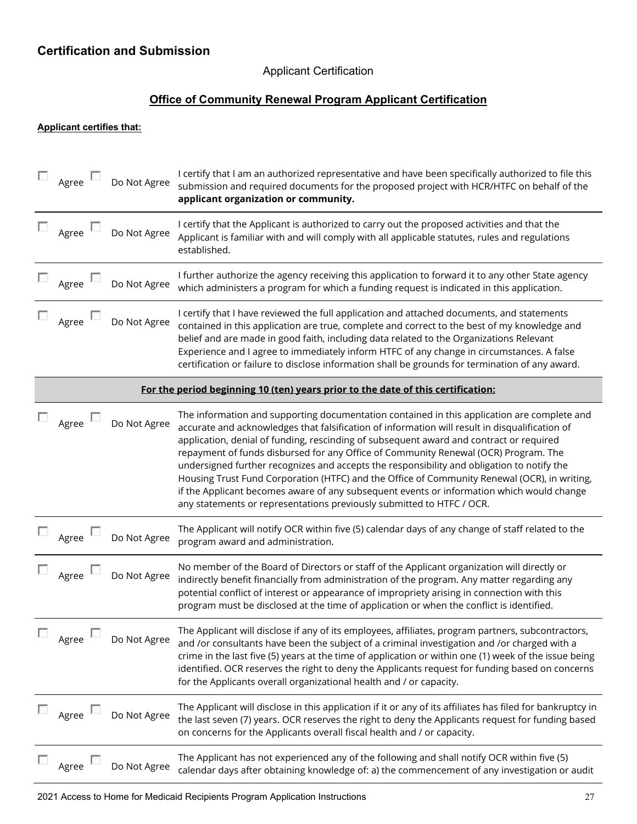## <span id="page-27-0"></span>**Certification and Submission**

### Applicant Certification

# **Office of Community Renewal Program Applicant Certification**

#### **Applicant certifies that:**

| Agree               | Do Not Agree | I certify that I am an authorized representative and have been specifically authorized to file this<br>submission and required documents for the proposed project with HCR/HTFC on behalf of the<br>applicant organization or community.                                                                                                                                                                                                                                                                                                                                                                                                                                                                                                            |
|---------------------|--------------|-----------------------------------------------------------------------------------------------------------------------------------------------------------------------------------------------------------------------------------------------------------------------------------------------------------------------------------------------------------------------------------------------------------------------------------------------------------------------------------------------------------------------------------------------------------------------------------------------------------------------------------------------------------------------------------------------------------------------------------------------------|
| Agree               | Do Not Agree | I certify that the Applicant is authorized to carry out the proposed activities and that the<br>Applicant is familiar with and will comply with all applicable statutes, rules and regulations<br>established.                                                                                                                                                                                                                                                                                                                                                                                                                                                                                                                                      |
| Agree               | Do Not Agree | I further authorize the agency receiving this application to forward it to any other State agency<br>which administers a program for which a funding request is indicated in this application.                                                                                                                                                                                                                                                                                                                                                                                                                                                                                                                                                      |
| $\Box$ Agree $\Box$ | Do Not Agree | I certify that I have reviewed the full application and attached documents, and statements<br>contained in this application are true, complete and correct to the best of my knowledge and<br>belief and are made in good faith, including data related to the Organizations Relevant<br>Experience and I agree to immediately inform HTFC of any change in circumstances. A false<br>certification or failure to disclose information shall be grounds for termination of any award.                                                                                                                                                                                                                                                               |
|                     |              | For the period beginning 10 (ten) years prior to the date of this certification:                                                                                                                                                                                                                                                                                                                                                                                                                                                                                                                                                                                                                                                                    |
| Agree               | Do Not Agree | The information and supporting documentation contained in this application are complete and<br>accurate and acknowledges that falsification of information will result in disqualification of<br>application, denial of funding, rescinding of subsequent award and contract or required<br>repayment of funds disbursed for any Office of Community Renewal (OCR) Program. The<br>undersigned further recognizes and accepts the responsibility and obligation to notify the<br>Housing Trust Fund Corporation (HTFC) and the Office of Community Renewal (OCR), in writing,<br>if the Applicant becomes aware of any subsequent events or information which would change<br>any statements or representations previously submitted to HTFC / OCR. |
| $\Box$ Agree        | Do Not Agree | The Applicant will notify OCR within five (5) calendar days of any change of staff related to the<br>program award and administration.                                                                                                                                                                                                                                                                                                                                                                                                                                                                                                                                                                                                              |
| Agree               | Do Not Agree | No member of the Board of Directors or staff of the Applicant organization will directly or<br>indirectly benefit financially from administration of the program. Any matter regarding any<br>potential conflict of interest or appearance of impropriety arising in connection with this<br>program must be disclosed at the time of application or when the conflict is identified.                                                                                                                                                                                                                                                                                                                                                               |
| Agree               | Do Not Agree | The Applicant will disclose if any of its employees, affiliates, program partners, subcontractors,<br>and /or consultants have been the subject of a criminal investigation and /or charged with a<br>crime in the last five (5) years at the time of application or within one (1) week of the issue being<br>identified. OCR reserves the right to deny the Applicants request for funding based on concerns<br>for the Applicants overall organizational health and / or capacity.                                                                                                                                                                                                                                                               |
| Agree               | Do Not Agree | The Applicant will disclose in this application if it or any of its affiliates has filed for bankruptcy in<br>the last seven (7) years. OCR reserves the right to deny the Applicants request for funding based<br>on concerns for the Applicants overall fiscal health and / or capacity.                                                                                                                                                                                                                                                                                                                                                                                                                                                          |
| Agree               | Do Not Agree | The Applicant has not experienced any of the following and shall notify OCR within five (5)<br>calendar days after obtaining knowledge of: a) the commencement of any investigation or audit                                                                                                                                                                                                                                                                                                                                                                                                                                                                                                                                                        |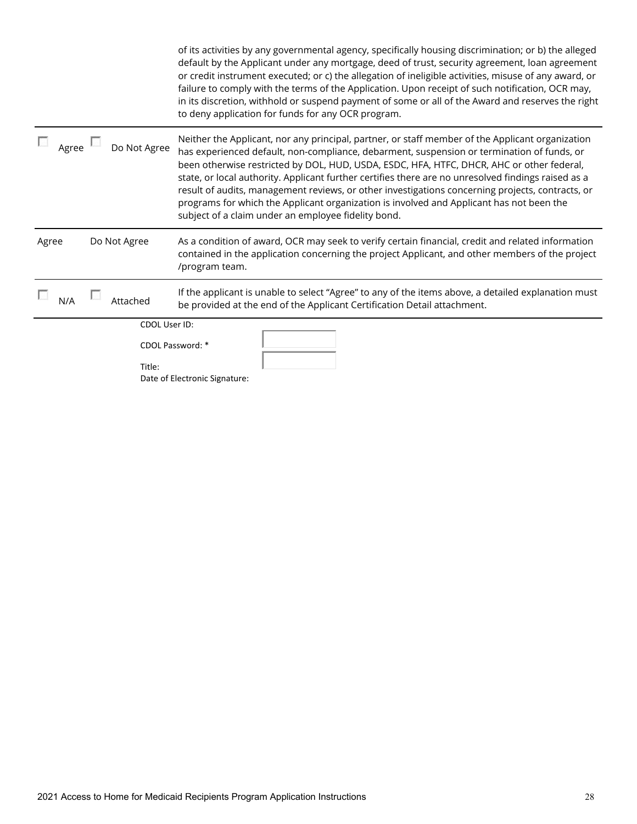|       |               | of its activities by any governmental agency, specifically housing discrimination; or b) the alleged<br>default by the Applicant under any mortgage, deed of trust, security agreement, loan agreement<br>or credit instrument executed; or c) the allegation of ineligible activities, misuse of any award, or<br>failure to comply with the terms of the Application. Upon receipt of such notification, OCR may,<br>in its discretion, withhold or suspend payment of some or all of the Award and reserves the right<br>to deny application for funds for any OCR program.                                                                            |
|-------|---------------|-----------------------------------------------------------------------------------------------------------------------------------------------------------------------------------------------------------------------------------------------------------------------------------------------------------------------------------------------------------------------------------------------------------------------------------------------------------------------------------------------------------------------------------------------------------------------------------------------------------------------------------------------------------|
| Agree | Do Not Agree  | Neither the Applicant, nor any principal, partner, or staff member of the Applicant organization<br>has experienced default, non-compliance, debarment, suspension or termination of funds, or<br>been otherwise restricted by DOL, HUD, USDA, ESDC, HFA, HTFC, DHCR, AHC or other federal,<br>state, or local authority. Applicant further certifies there are no unresolved findings raised as a<br>result of audits, management reviews, or other investigations concerning projects, contracts, or<br>programs for which the Applicant organization is involved and Applicant has not been the<br>subject of a claim under an employee fidelity bond. |
| Agree | Do Not Agree  | As a condition of award, OCR may seek to verify certain financial, credit and related information<br>contained in the application concerning the project Applicant, and other members of the project<br>/program team.                                                                                                                                                                                                                                                                                                                                                                                                                                    |
| N/A   | Attached      | If the applicant is unable to select "Agree" to any of the items above, a detailed explanation must<br>be provided at the end of the Applicant Certification Detail attachment.                                                                                                                                                                                                                                                                                                                                                                                                                                                                           |
|       | CDOL User ID: |                                                                                                                                                                                                                                                                                                                                                                                                                                                                                                                                                                                                                                                           |
|       | Title:        | CDOL Password: *<br>Date of Electronic Signature:                                                                                                                                                                                                                                                                                                                                                                                                                                                                                                                                                                                                         |